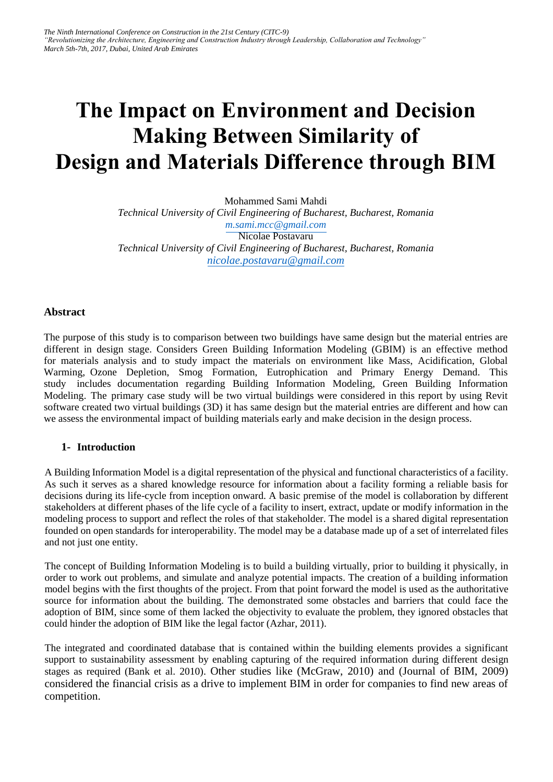# **The Impact on Environment and Decision Making Between Similarity of Design and Materials Difference through BIM**

Mohammed Sami Mahdi *Technical University of Civil Engineering of Bucharest, Bucharest, Romania [m.sami.mcc@gmail.com](mailto:m.sami.mcc@gmail.com)* Nicolae Postavaru *Technical University of Civil Engineering of Bucharest, Bucharest, Romania [nicolae.postavaru@gmail.com](mailto:nicolae.postavaru@gmail.com)*

## **Abstract**

The purpose of this study is to comparison between two buildings have same design but the material entries are different in design stage. Considers Green Building Information Modeling (GBIM) is an effective method for materials analysis and to study impact the materials on environment like Mass, Acidification, Global Warming, Ozone Depletion, Smog Formation, Eutrophication and Primary Energy Demand. This study includes documentation regarding Building Information Modeling, Green Building Information Modeling. The primary case study will be two virtual buildings were considered in this report by using Revit software created two virtual buildings (3D) it has same design but the material entries are different and how can we assess the environmental impact of building materials early and make decision in the design process.

## **1- Introduction**

A Building Information Model is a digital representation of the physical and functional characteristics of a facility. As such it serves as a shared knowledge resource for information about a facility forming a reliable basis for decisions during its life-cycle from inception onward. A basic premise of the model is collaboration by different stakeholders at different phases of the life cycle of a facility to insert, extract, update or modify information in the modeling process to support and reflect the roles of that stakeholder. The model is a shared digital representation founded on open standards for interoperability. The model may be a database made up of a set of interrelated files and not just one entity.

The concept of Building Information Modeling is to build a building virtually, prior to building it physically, in order to work out problems, and simulate and analyze potential impacts. The creation of a building information model begins with the first thoughts of the project. From that point forward the model is used as the authoritative source for information about the building. The demonstrated some obstacles and barriers that could face the adoption of BIM, since some of them lacked the objectivity to evaluate the problem, they ignored obstacles that could hinder the adoption of BIM like the legal factor (Azhar, 2011).

The integrated and coordinated database that is contained within the building elements provides a significant support to sustainability assessment by enabling capturing of the required information during different design stages as required (Bank et al. 2010). Other studies like (McGraw, 2010) and (Journal of BIM, 2009) considered the financial crisis as a drive to implement BIM in order for companies to find new areas of competition.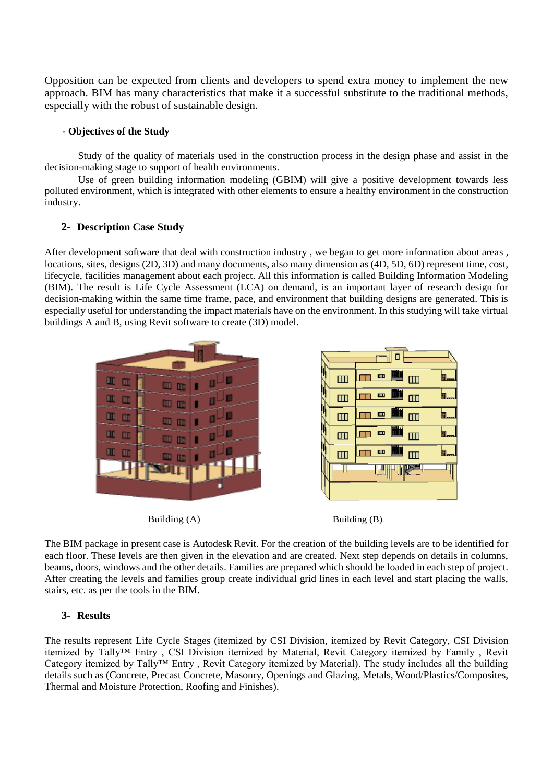Opposition can be expected from clients and developers to spend extra money to implement the new approach. BIM has many characteristics that make it a successful substitute to the traditional methods, especially with the robust of sustainable design.

#### $\Box$ **- Objectives of the Study**

Study of the quality of materials used in the construction process in the design phase and assist in the decision-making stage to support of health environments.

Use of green building information modeling (GBIM) will give a positive development towards less polluted environment, which is integrated with other elements to ensure a healthy environment in the construction industry.

## **2- Description Case Study**

After development software that deal with construction industry , we began to get more information about areas , locations, sites, designs (2D, 3D) and many documents, also many dimension as (4D, 5D, 6D) represent time, cost, lifecycle, facilities management about each project. All this information is called Building Information Modeling (BIM). The result is Life Cycle Assessment (LCA) on demand, is an important layer of research design for decision-making within the same time frame, pace, and environment that building designs are generated. This is especially useful for understanding the impact materials have on the environment. In this studying will take virtual buildings A and B, using Revit software to create (3D) model.





The BIM package in present case is Autodesk Revit. For the creation of the building levels are to be identified for each floor. These levels are then given in the elevation and are created. Next step depends on details in columns, beams, doors, windows and the other details. Families are prepared which should be loaded in each step of project. After creating the levels and families group create individual grid lines in each level and start placing the walls, stairs, etc. as per the tools in the BIM.

## **3- Results**

The results represent Life Cycle Stages (itemized by CSI Division, itemized by Revit Category, CSI Division itemized by Tally™ Entry , CSI Division itemized by Material, Revit Category itemized by Family , Revit Category itemized by Tally™ Entry , Revit Category itemized by Material). The study includes all the building details such as (Concrete, Precast Concrete, Masonry, Openings and Glazing, Metals, Wood/Plastics/Composites, Thermal and Moisture Protection, Roofing and Finishes).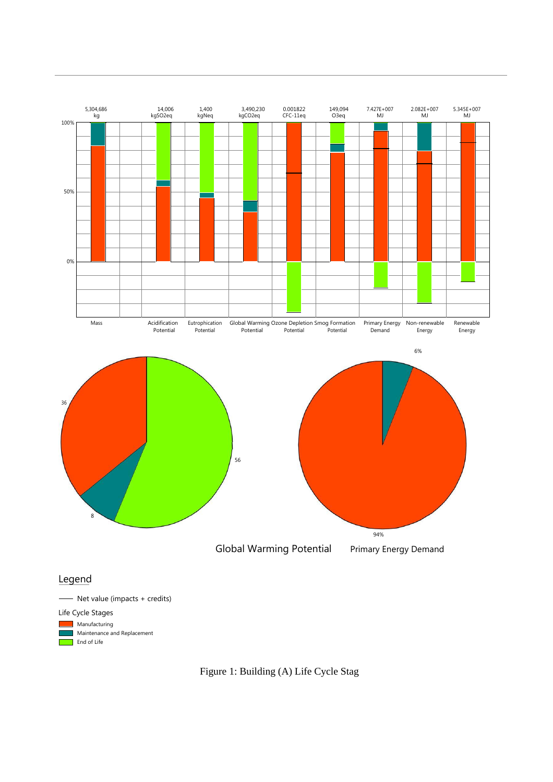

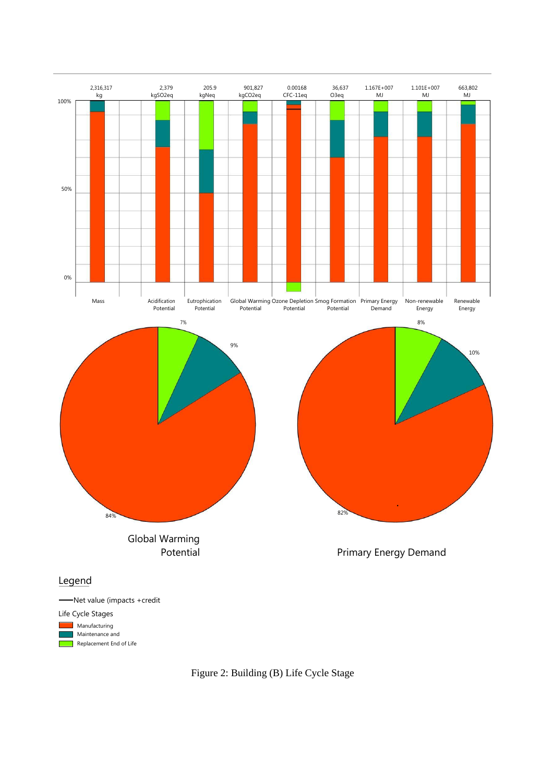

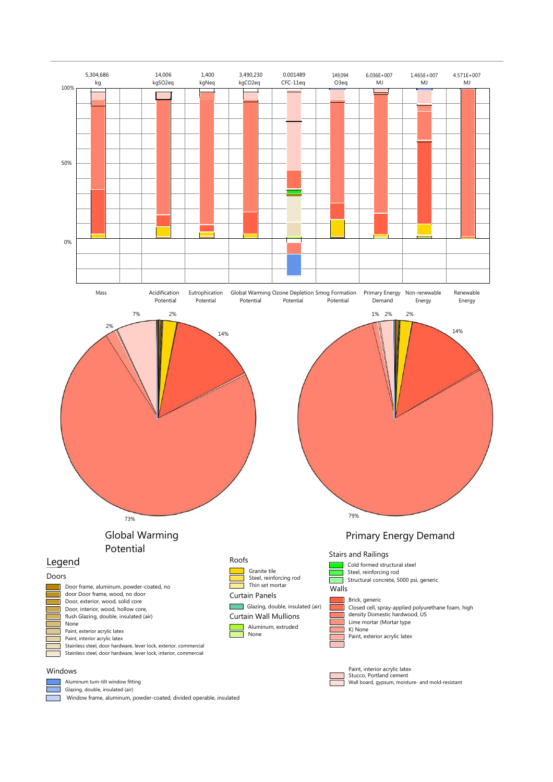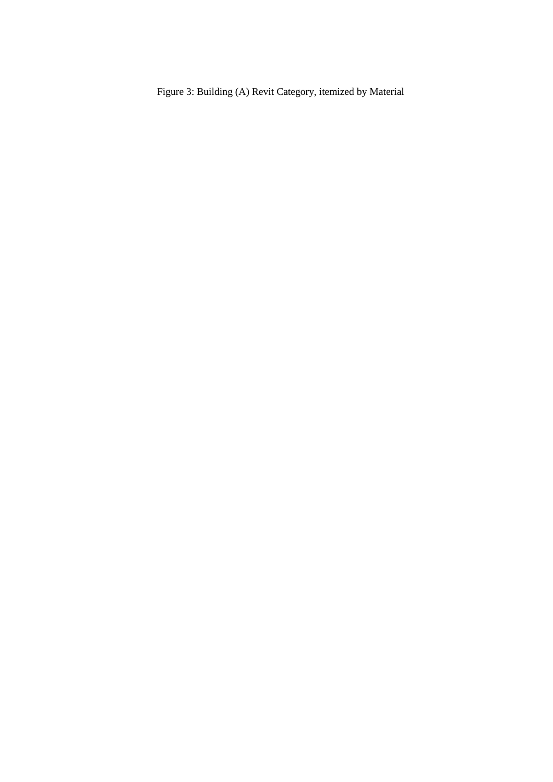Figure 3: Building (A) Revit Category, itemized by Material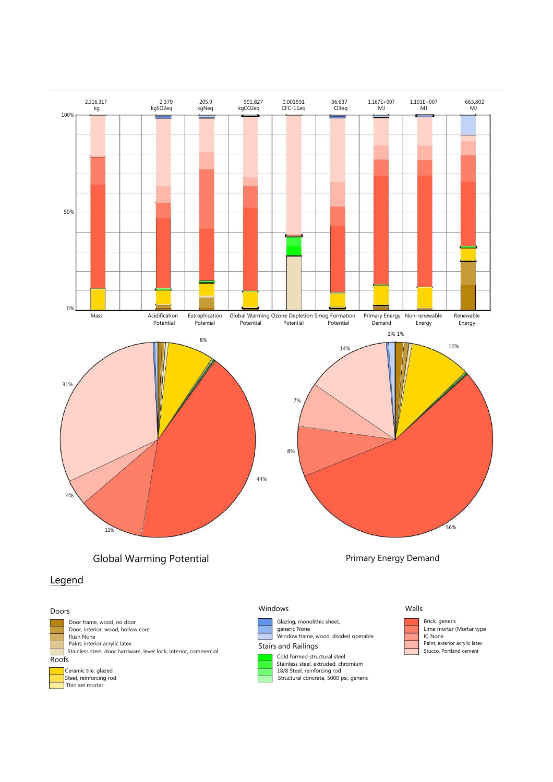





Windows

Glazing, monolithic sheet, generic None Window frame, wood, divided operable Stairs and Railings

Cold formed structural steel Stainless steel, extruded, chromium 18/8 Steel, reinforcing rod Structural concrete, 5000 psi, generic

### Walls



Stucco, Portland cement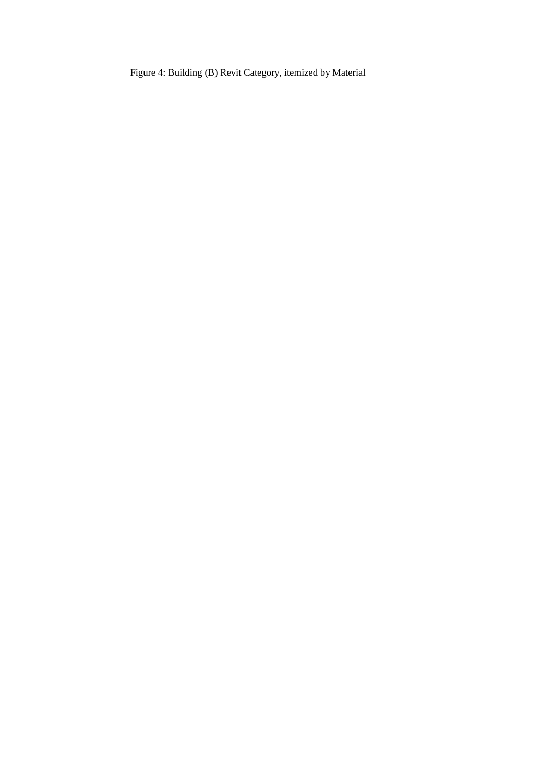Figure 4: Building (B) Revit Category, itemized by Material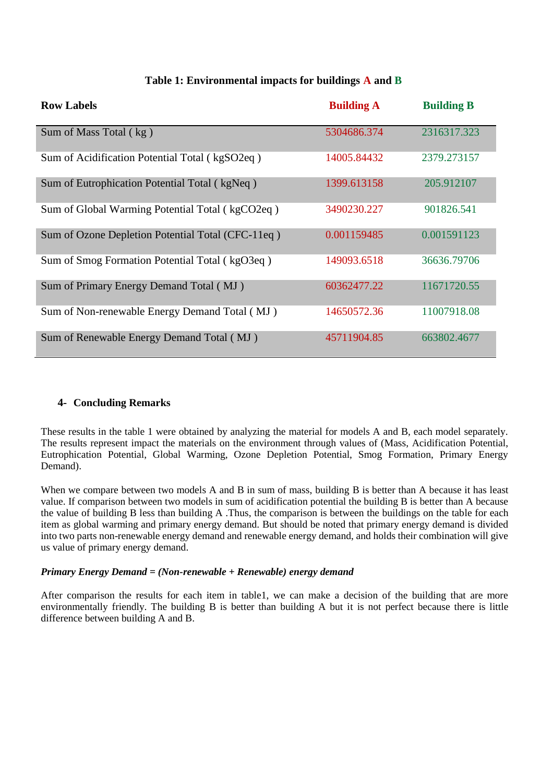| <b>Row Labels</b>                                 | <b>Building A</b> | <b>Building B</b> |
|---------------------------------------------------|-------------------|-------------------|
| Sum of Mass Total (kg)                            | 5304686.374       | 2316317.323       |
| Sum of Acidification Potential Total (kgSO2eq)    | 14005.84432       | 2379.273157       |
| Sum of Eutrophication Potential Total (kgNeq)     | 1399.613158       | 205.912107        |
| Sum of Global Warming Potential Total (kgCO2eq)   | 3490230.227       | 901826.541        |
| Sum of Ozone Depletion Potential Total (CFC-11eq) | 0.001159485       | 0.001591123       |
| Sum of Smog Formation Potential Total (kgO3eq)    | 149093.6518       | 36636.79706       |
| Sum of Primary Energy Demand Total (MJ)           | 60362477.22       | 11671720.55       |
| Sum of Non-renewable Energy Demand Total (MJ)     | 14650572.36       | 11007918.08       |
| Sum of Renewable Energy Demand Total (MJ)         | 45711904.85       | 663802.4677       |

## **Table 1: Environmental impacts for buildings A and B**

## **4- Concluding Remarks**

These results in the table 1 were obtained by analyzing the material for models A and B, each model separately. The results represent impact the materials on the environment through values of (Mass, Acidification Potential, Eutrophication Potential, Global Warming, Ozone Depletion Potential, Smog Formation, Primary Energy Demand).

When we compare between two models A and B in sum of mass, building B is better than A because it has least value. If comparison between two models in sum of acidification potential the building B is better than A because the value of building B less than building A .Thus, the comparison is between the buildings on the table for each item as global warming and primary energy demand. But should be noted that primary energy demand is divided into two parts non-renewable energy demand and renewable energy demand, and holds their combination will give us value of primary energy demand.

## *Primary Energy Demand = (Non-renewable + Renewable) energy demand*

After comparison the results for each item in table1, we can make a decision of the building that are more environmentally friendly. The building B is better than building A but it is not perfect because there is little difference between building A and B.